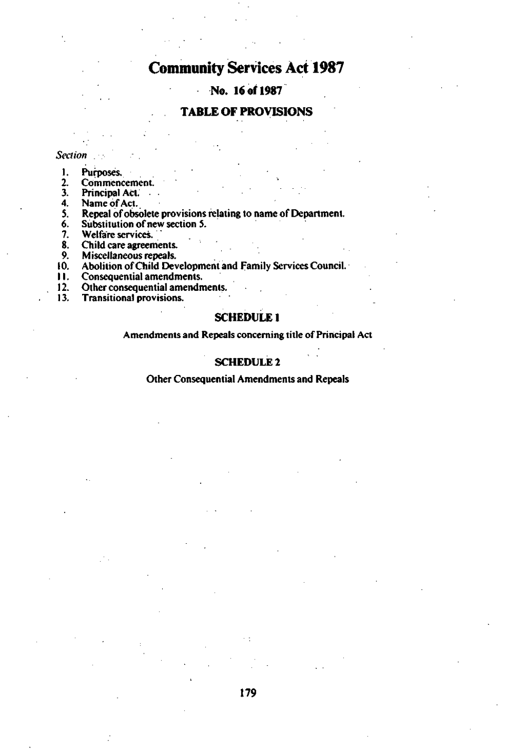# **Community Services Act 1987**

## **No. 16 of 1987**

## **TABLE OF PROVISIONS**

#### *Section \_*

- 1. Purposes.<br>2. Commenton<br>3. Principal
- Commencement.
- 3. Principal Act.<br>4. Name of Act.
- 
- 4. Name of Act.<br>5. Repeal of obse 5. Repeal of obsolete provisions relating to name of Department.<br>6. Substitution of new section 5.
- 6. Substitution of new section 5.
- 
- 7. Welfare services.<br>8. Child care agreen 8. Child care agreements.<br>9. Miscellaneous repeals.
- 
- 9. Miscellaneous repeals.<br>10. Abolition of Child Dev 10. Abolition of Child Development and Family Services Council.<br>11. Consequential amendments.
- 
- 11. Consequential amendments.<br>12. Other consequential amendn 12. Other consequential amendments.<br>13. Transitional provisions.
- Transitional provisions.

## **SCHEDULE 1**

### Amendments and Repeals concerning title of Principal Act

## **SCHEDULE 2**

## **Other Consequential** Amendments and **Repeals**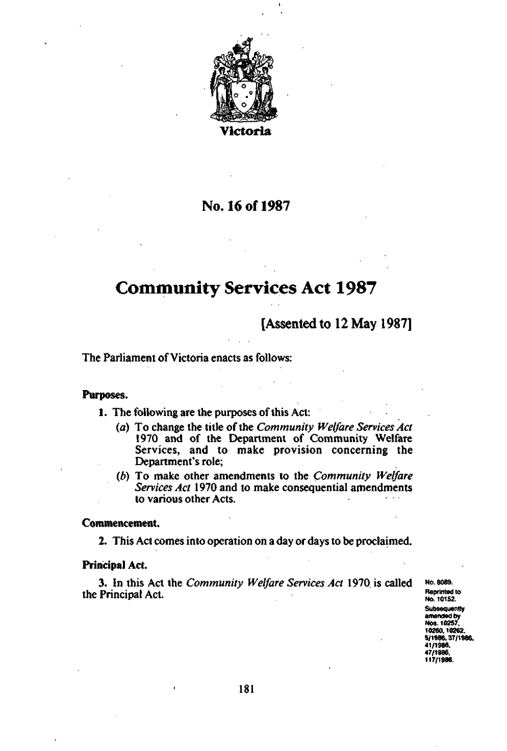

**Victoria** 

# No. 16 of 1987

# **Community Services Act 1987**

[Assented to 12 May 1987]

The Parliament of Victoria enacts as follows:

## **Purposes.**

1. The following are the purposes of this Act:

- *(a)* To change the title of the *Community Welfare Services Act*  1970 and of the Department of Community Welfare Services, and to make provision concerning the Department's role;
- *(b)* To make other amendments to the *Community Welfare Services Act* 1970 and to make consequential amendments to various other Acts.

## **Commencement.**

**2.** This Act comes into operation on a day or days to be proclaimed.

## **Principal Act.**

3. In this Act the *Community Welfare Services Act* 1970. is called the Principal Act.

**No. 8089. Reprinted to No. 10152. Subsequently amended by Nos. 10257, 10260,10262. 5/1986,37/1986, 41/1986. 47/1986, 117/1986.**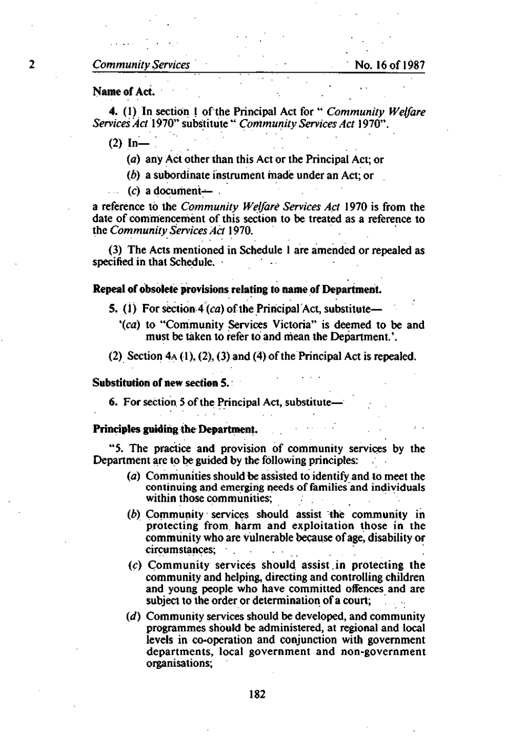## *Community Services* No. 16 of 1987

## **Name of Act.**

**4.** (1) **In** section 1 of the Principal Act for *"Community Welfare Services Act 1910"* substitute " *Community Services Act* 1970".

 $(2)$  In-

*(a)* any Act other than this Act or the Principal Act; or

*(b)* a subordinate instrument made under an Act; or

(c) a document— .

a reference to the *Community Welfare Services Act* 1970 is from the date of commencement of this section to be treated as a reference to the *Community Services Act* **1**970.

(3) The Acts mentioned in Schedule 1 are amended or repealed as specified in that Schedule.

## **Repeal of obsolete provisions relating to name of Department.**

- **5.** (1) For section 4 *(ca)* of the Principal Act, substitute—
	- *\ca)* to "Community Services Victoria" is deemed to be and must be taken to refer to and mean the Department.'.

(2) Section  $4A(1)$ , (2), (3) and (4) of the Principal Act is repealed.

#### **Substitution of new section 5.**

**6.** For section 5 of the Principal Act, substitute

## **Principles guiding the Department.**

"5. The practice and provision of community services by the Department are to be guided by the following principles:

- *(a)* Communities should be assisted to identify and to meet the continuing and emerging needs of families and individuals within those communities;
- *(b)* Community services should assist the community in protecting from harm and exploitation those in the community who are vulnerable because of age, disability or circumstances;
- (c) Community services should assist.in protecting the community and helping, directing and controlling children and young people who have committed offences and are subject to the order or determination of a court;
- *(d)* Community services should be developed, and community programmes should be administered, at regional and local levels in co-operation and conjunction with government departments, local government and non-government organisations;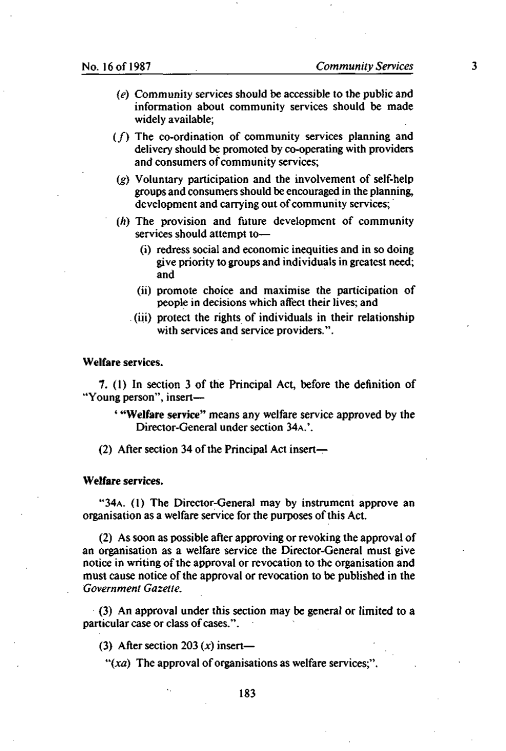- *(e)* Community services should be accessible to the public and information about community services should be made widely available;
- $(f)$  The co-ordination of community services planning and delivery should be promoted by co-operating with providers and consumers of community services;
- *(g)* Voluntary participation and the involvement of self-help groups and consumers should be encouraged in the planning, development and carrying out of community services;
- *(h)* The provision and future development of community services should attempt to—
	- (i) redress social and economic inequities and in so doing give priority to groups and individuals in greatest need; and
	- (ii) promote choice and maximise the participation of people in decisions which affect their lives; and
	- (iii) protect the rights of individuals in their relationship with services and service providers.".

## **Welfare** services.

**7.** (1) In section 3 of the Principal Act, before the definition of "Young person", insert—

' **"Welfare service"** means any welfare service approved by the Director-General under section 34A.'.

(2) After section 34 of the Principal Act insert-

### **Welfare services.**

"34A. (1) The Director-General may by instrument approve an organisation as a welfare service for the purposes of this Act.

(2) As soon as possible after approving or revoking the approval of an organisation as a welfare service the Director-General must give notice in writing of the approval or revocation to the organisation and must cause notice of the approval or revocation to be published in the *Government Gazette.* 

(3) An approval under this section may be general or limited to a particular case or class of cases.".

(3) After section 203 *(x)* insert—

*"(xa)* The approval of organisations as welfare services;".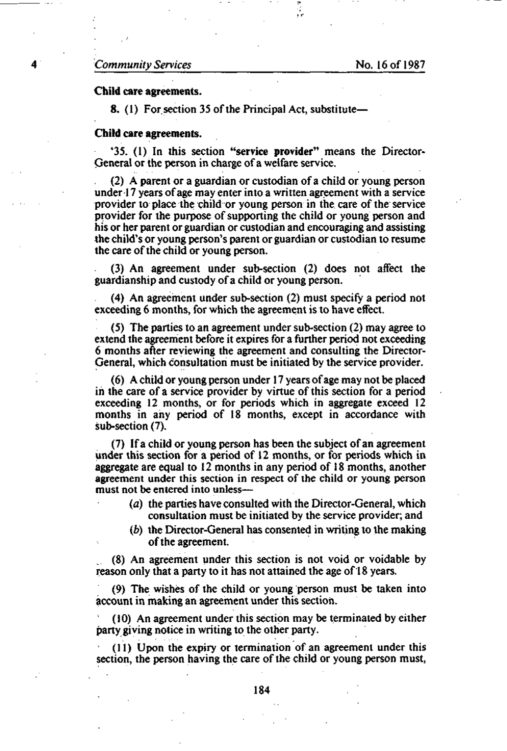## *Community Services* No. 16 of 1987

### **Child care agreements.**

**8.** (1) For section 35 of the Principal Act, substitute—

#### **Child care agreements.**

4 35. (1) In this section **"service provider"** means the Director-General or the person in charge of a welfare service.

(2) A parent or a guardian or custodian of a child or young person under 17 years of age may enter into a written agreement with a service provider to place the child or young person in the care of the service provider for the purpose of supporting the child or young person and his or her parent or guardian or custodian and encouraging and assisting the child's or young person's parent or guardian or custodian to resume the care of the child or young person.

(3) An agreement under sub-section (2) does not affect the guardianship and custody of a child or young person.

(4) An agreement under sub-section (2) must specify a period not exceeding 6 months, for which the agreement is to have effect.

(5) The parties to an agreement under sub-section (2) may agree to extend the agreement before it expires for a further period not exceeding 6 months after reviewing the agreement and consulting the Director-General, which consultation must be initiated by the service provider.

(6) A child or young person under 17 years of age may not be placed in the care of a service provider by virtue of this section for a period exceeding 12 months, or for periods which in aggregate exceed 12 months in any period of 18 months, except in accordance with sub-section (7).

(7) If a child or young person has been the subject of an agreement under this section for a period of 12 months, or for periods which in aggregate are equal to 12 months in any period of 18 months, another agreement under this section in respect of the child or young person must not be entered into unless—

- *(a)* the parties have consulted with the Director-General, which consultation must be initiated by the service provider; and
- *(b)* the Director-General has consented in writing to the making of the agreement.

(8) An agreement under this section is not void or voidable by reason only that a party to it has not attained the age of 18 years.

(9) The wishes of the child or young person must be taken into account in making an agreement under this section.

(10) An agreement under this section may be terminated by either party giving notice in writing to the other party.

(11) Upon the expiry or termination of an agreement under this section, the person having the care of the child or young person must,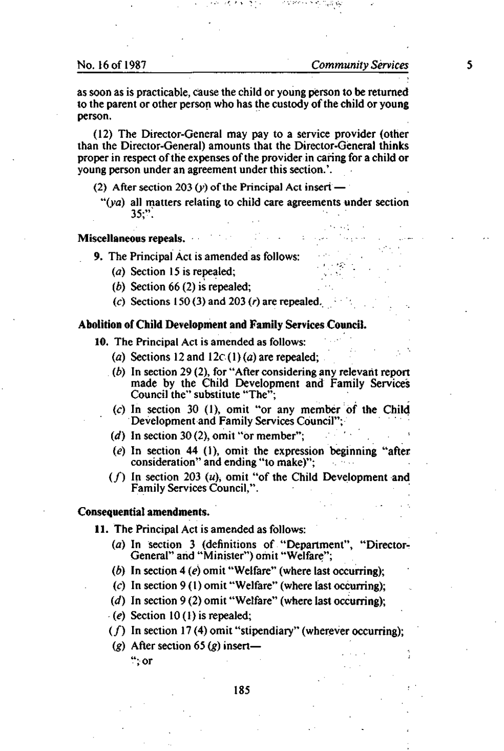as soon as is practicable, cause the child or young person to be returned to the parent or other person who has the custody of the child or young person.

(12) The Director-General may pay to a service provider (other than the Director-General) amounts that the Director-General thinks proper in respect of the expenses of the provider in caring for a child or young person under an agreement under this section.'.

- (2) After section 203 (y) of the Principal Act insert
	- *"(yd)* all matters relating to child care agreements under section 35;":

Miscellaneous **repeals.** 

9. The Principal Act is amended as follows:

- (*a*) Section 15 is repealed;
- *(b)* Section 66 (2) is repealed;
- *(c)* Sections 150 (3) and 203 *(r)* are repealed.

## **Abolition of Child Development and Family Services Council.**

- **10.** The Principal Act is amended as follows:
	- *(a)* Sections 12 and 12c (1) *(a)* are repealed;
	- *(b)* In section 29 (2), for "After considering any relevant report made by the Child Development and Family Services Council the" substitute "The";
	- *(c)* In section 30 (1), omit "or any member of the Child Development and Family Services Council";
	- *(d)* In section 30 (2), omit "or member";
	- *(e)* In section 44 (1), omit the expression beginning "after consideration'' and ending "to make)";
	- $(f)$  In section 203 (u), omit "of the Child Development and Family Services Council,".

## **Consequential amendments.**

**11.** The Principal Act is amended as follows:

- *(a)* In section 3 (definitions of "Department", "Director-General" and "Minister") omit "Welfare";
- *(b)* In section 4 *(e)* omit "Welfare" (where last occurring);
- *(c)* In section 9 (1) omit "Welfare" (where last occurring);
- *(d)* In section 9 (2) omit "Welfare" (where last occurring);
- *(e)* Section 10(1) is repealed;
- $(f)$  In section 17 (4) omit "stipendiary" (wherever occurring);
- *(g)* After section 65 *(g)* insert— ";or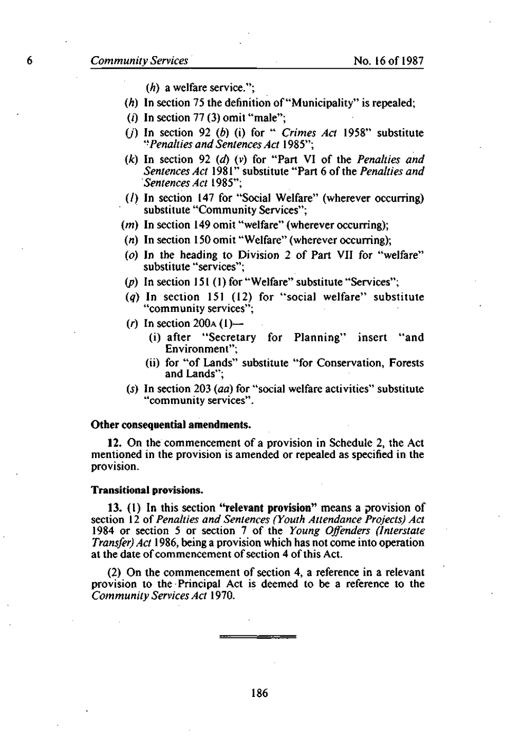- *(h)* a welfare service.";
- *(h)* In section 75 the definition of "Municipality" is repealed;
- ( $i$ ) In section 77 (3) omit "male";
- 0) In section 92 *(b)* (i) for " *Crimes Act* 1958" substitute *'•Penalties and Sentences Act* 1985";
- *(k)* In section 92 *(d)* (v) for "Part VI of the *Penalties and Sentences Act* 1981" substitute "Part 6 of the *Penalties and Sentences Act* 1985";
- (/) In section 147 for "Social Welfare" (wherever occurring) substitute "Community Services";
- *(m)* In section 149 omit "welfare" (wherever occurring);
- (n) In section 150 omit "Welfare" (wherever occurring);
- *(o)* In the heading to Division 2 of Part VII for "welfare" substitute "services";
- *(p)* In section 151 (1) for "Welfare" substitute "Services";
- *(q)* In section 151 (12) for "social welfare" substitute "community services";
- (r) In section  $200A(1)$ 
	- (i) after "Secretary for Planning" insert "and Environment";
	- (ii) for "of Lands" substitute "for Conservation, Forests and Lands";
- *(s)* In section 203 *(aa)* for "social welfare activities" substitute "community services".

#### **Other consequential amendments.**

**12.** On the commencement of a provision in Schedule 2, the Act mentioned in the provision is amended or repealed as specified in the provision.

#### **Transitional provisions.**

**13.** (1) **In** this section **"relevant provision"** means a provision of section 12 of *Penalties and Sentences (Youth Attendance Projects) Act*  1984 or section 5 or section 7 of the *Young Offenders (Interstate Transfer) Act* 1986, being a provision which has not come into operation at the date of commencement of section 4 of this Act.

(2) On the commencement of section 4, a reference in a relevant provision to the Principal Act is deemed to be a reference to the *Community Services Act* 1970.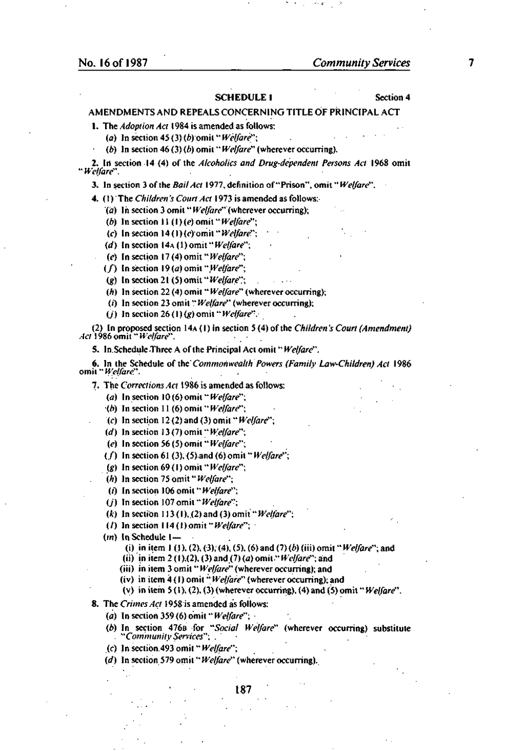#### SCHEDULE 1 Section 4

#### AMENDMENTS AND REPEALS CONCERNING TITLE OF PRINCIPAL ACT

1. The *Adoption Act \* 984 is amended as follows:

*(a)* In section 45 (3) *(b)* omit *"Welfare";* 

*(b)* In section 46 (3) *(b)* omit *"Welfare"* (wherever occurring).

**2. In section 14 (4) of the** *Alcoholics and Drug-dependent Persons Act* **1968 omit**  *"Welfare".* 

3. In section 3 of the *Bail Act* 1977, definition of "Prison", omit" *Welfare".* 

*4.* (1)' The *Children's Court Act* 1973 is amended as follows:-

*(a)* In section 3 omit " *Welfare"* (wherever occurring);

- *(b)* In section 11 (1) *(e)* omit" *Welfare";*
- *(c)* **In section 14** *(\)(e)om'n"Welfare";*
- *(d)* In section 14A (1) omit *"Welfare";*
- *(e)* In section 17 (4) omit" *Welfare";*

*(f)* **In section 19** *(a)* **omit** *"Welfare";* 

*(g)* In section 21 (5) omit" *Welfare";* 

*(h)* In section 22 (4) omit" *Welfare"* (wherever occurring);

(i) In section 23 omit" *Welfare"* (wherever occurring);

*(j)* In section 26(1) *(g)* omit" *Welfare".* 

(2) In proposed section 14A (1) in section 5 (4) of the *Children's Court (Amendment) Act* **1986 omit"** *Welfare".* 

5. In.Schedule Three A of the Principal Act omit" *Welfare".* 

**6. In the Schedule of the'** *Commonwealth Powers (Family Law-Children) Act* **1986 omit** *"Welfare".* 

7. The *Corrections Act* 1986 is amended as follows:

*(a)* In section 10(6)omit *"Welfare";* 

*(b)* In section 11 (6) omit *"Welfare";* 

*(c)* **In section** *12 (2) and (3) omil" Welfare";* 

*(d)* In section 13 (7) omit" *Welfare";* 

*(e)* In section 56 (5) omit " *Welfare";* 

(/) In section 61 (3), (5)and (6)omit" *Welfare";* 

*(g)* In section 69(1) omit *"Welfare";* 

*(h)* In section 75 omit" *Welfare";* 

(/') In section 106 omit" *Welfare";* 

*(j)* In section 107 omit" *Welfare";* 

*(k)* **Insection** *\li(\),.(2)and(3)omii"Welfare";* 

(/) In section 114 (I)omit *"Welfare"; •* 

*(in)* In Schedule 1—

(i) in item 1 (1), (2), (3), (4), (5), (6) and (7) (b) (iii) omit "*Welfare*"; and

(ii) in item 2 (I ),(2), (3) and (7) *(a)* omit" *Welfare";* and

(iii) in item 3 omit " *Welfare"* (wherever occurring); and

(iv) in item 4 (I) omit" *Welfare"* (wherever occurring); and

(v) in item 5(1), (2), (3) (wherever occurring), (4) and (5) omit " *Welfare".* 

8. The *Crimes Act* 1958 is amended as follows:

*(a)* In section 359 (6) omit " *Welfare"; •* 

*(b)* In section 476B for *"Social Welfare"* (wherever occurring) substitute **.** *"Community Services"; .* 

*(c)* In sectibn.493 omit" *Welfare";* 

*(d)* In section 579 omit" *Welfare"* (wherever occurring).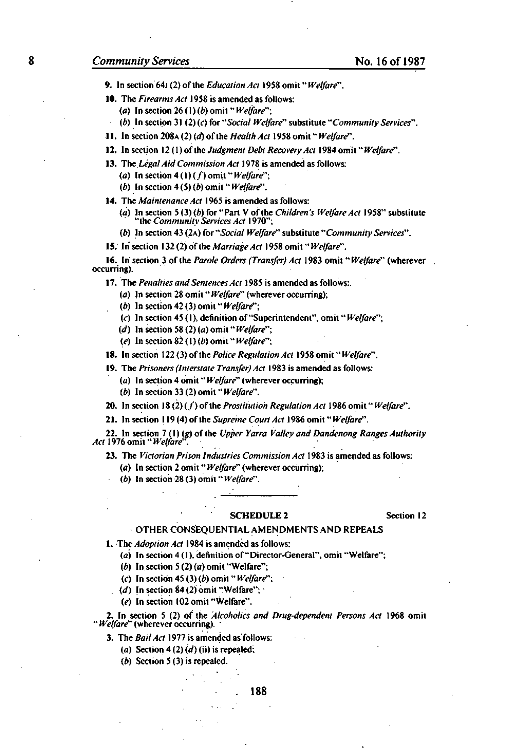- 9. In section'64j (2) of the *Education Act* 1958 omit" *Welfare".*
- 10. The *Firearms Act* 1958 is amended as follows:
	- (a) In section 26(1) *(b)* omit *"Welfare";*
	- *(b)* **In section 31 (2) (c) for** *"Social Welfare"* **substitute** *"Community Services".*
- 11. In section 208A (2) *(a)* of the *Health Act* 1958 omit" *Welfare".*
- **12. In section 12 (1) of the** *Judgment Debt Recovery Act* **1984 omit"** *Welfare".*
- 13. *The Legal Aid Commission Act* 1978 is amended as follows:
	- *(a)* In section 4 (1) (/) omit" *Welfare";*
	- *(b)* In section 4 (5) *(b)* omit" *Welfare".*
- 14. *The Maintenance Act* 1965 is amended as follows:
	- *(a)* In section 5 (3) *(b)* for "Part V of the *Children's Welfare Act* 1958" substitute **"the** *Community Services Act* **1970";**
	- *(b)* **In section 43 (2A) for** *"Social Welfare"* **substitute** *"Community Services".*
- 15. In section 132 (2) of the *Marriage Act* 1958 omit *"Welfare".*

16. In' section 3 of the *Parole Orders (Transfer) Act* 1983 omit *"Welfare"* (wherever occurring).

17. The *Penalties and Sentences Act* 1985 is amended as follows:,

- (a) In section 28 omit" *Welfare"* (wherever occurring);
- *(b)* In section 42 (3) omit *"Welfare";*
- (c) In section 45 (1), definition of "Superintendent", omit" *Welfare";*
- *(d)* In section 58 (2) (a) omit" *Welfare";*
- *(e)* In section 82(1) *(b)* omit *"Welfare";*

18. In section 122 (3) of the *Police Regulation Act* 1958 omit "Welfare".

**19. The** *Prisoners (Interstate Transfer) Act* **1983 is amended as follows:** 

- *(a)* In section 4 omit" *Welfare"* (wherever occurring);
- *(b)* In section 33 (2) omit" *Welfare".*

**20. Insertion 18(2)(/)ofthe** *Prostitution Regulation Act* **1986 omit** *"Welfare".* 

21. In section 119 (4) of the *Supreme Court Act* 1986 omit" *Welfare".* 

**22. In section 7 (1)** *(g)* **of the** *Upper Yarra Valley and Dandenong Ranges Authority Act* **1976 omit"** *Welfare".* 

**23. The** *Victorian Prison Industries Commission Act* **1983 is amended as follows:** 

- *(a)* In section 2 omit" *Welfare"* (wherever occurring);
- *(b)* In section-28 (3) omit *"Welfare".*

#### SCHEDULE 2 Section 12

#### OTHER CONSEQUENTIAL AMENDMENTS AND REPEALS

1. The *Adoption Act* 1984 is amended as follows:

*(a)* In section 4(1), definition of "Director-General", omit "Welfare";

- *(b)* In section 5 (2) (a) omit "Welfare";
- (c) In section 45 (3) (6) omit *"Welfare''';*
- *(d)* In section 84 (2) omit "Welfare"; •
- *(e)* Insertion 102 omit "Welfare".

**2. In section 5 (2) of the** *Alcoholics and Drug-dependent Persons Act* **1968 omit**  *Welfare"* (wherever occurring). "

3. The *Bail Act* 1977 is amended as'follows:

- *(a)* Section 4 (2) *(d)* (ii) is repealed;
- *(b)* Section 5 (3) is repealed.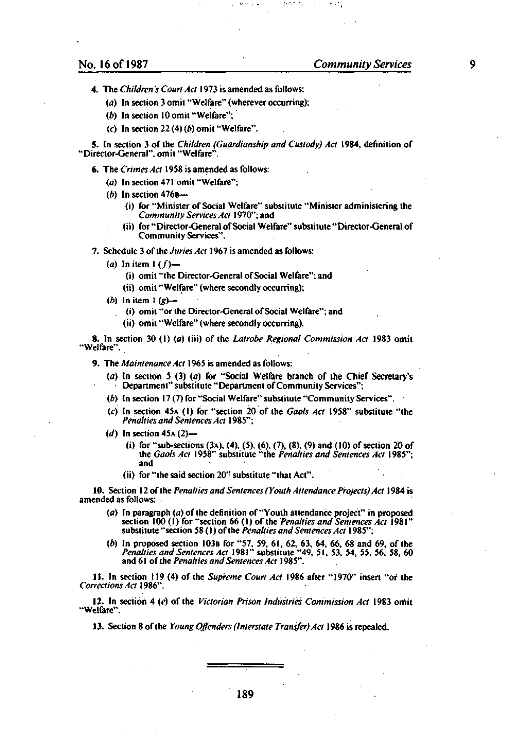4. The *Children's Court Act* 1973 is amended as follows:

- (a) In section 3 omit "Welfare" (wherever occurring);
- *(b)* In section 10 omit "Welfare";
- (c) In section 22 (4) *(b)* omit "Welfare".

5. In section 3 of the *Children (Guardianship and Custody) Act* 1984, definition of "Director-General", omit "Welfare".

6. The *Crimes Act* 1958 is amended as follows:

- *(a)* In section 471 omit "Welfare";
- *(b)* In section 476B—
	- (i) for "Minister of Social Welfare" substitute "Minister administering the *Community Services Act* 1970"; and
	- (ii) for "Director-General of Social Welfare" substitute "Director-General of Community Services".

7. Schedule 3 of the *Juries Act* 1967 is amended as follows:

(a) In item  $1(f)$ —

(i) omit "the Director-General of Social Welfare"; and

- (ii) omit "Welfare" (where secondly occurring);
- *(b)* In item 1 *(g)*
	- (i) omit "or the Director-General of Social Welfare"; and
	- (ii) omit "Welfare" (where secondly occurring).

8. In section 30 (1) (a) (iii) of the *Latrobe Regional Commission Act* 1983 omit "Welfare".

9. The *Maintenance Act* 1965 is amended as follows:

- (a) In section 5 (3) (a) for "Social Welfare branch of the Chief Secretary's Department" substitute "Department of Community Services";
- *(b)* In section 17 (7) for "Social Welfare" substitute "Community Services".
- (c) In section 45A (1) for "section 20 of the *Gaols Act* 1958" substitute "the *Penalties and Sentences Act* 1985";
- *(d)* In section 45A (2)—
	- (i) for "sub-sections (3A), (4), (5), (6), (7), (8), (9) and (10) of section 20 of the *Gaols Act* 1958" substitute "the *Penalties and Sentences Act* 1985"; and
	- (ii) for "the said section 20" substitute "that Act".

10. Section 12 of the *Penalties and Sentences (Youth Attendance Projects) Act* 1984 is amended as follows: .

- *(a)* In paragraph *(a)* of the definition of "Youth attendance project" in proposed section 100 (1) for "section 66 (1) of the *Penalties and Sentences Act* 1981" substitute "section 58 (1) of'the *Penalties and Sentences Act* 1985";
- *(b)* In proposed section 103B for "57, 59, 61, 62, 63, 64, 66, 68 and 69, of the *Penalties and Sentences Act* 1981" substitute "49, 51, 53, 54, 55, 56, 58, 60 and 61 of the *Penalties and Sentences Act 1*985".

11. In section 119 (4) of the *Supreme Court Act* 1986 after "1970" insert "or the *Corrections Act* 1986".

12. In section 4 *(e)* of the *Victorian Prison Industries Commission Act* 1983 omit "Welfare".

13. Section 8 of the *Young Offenders (Interstate Transfer) Act* 1986 is repealed.